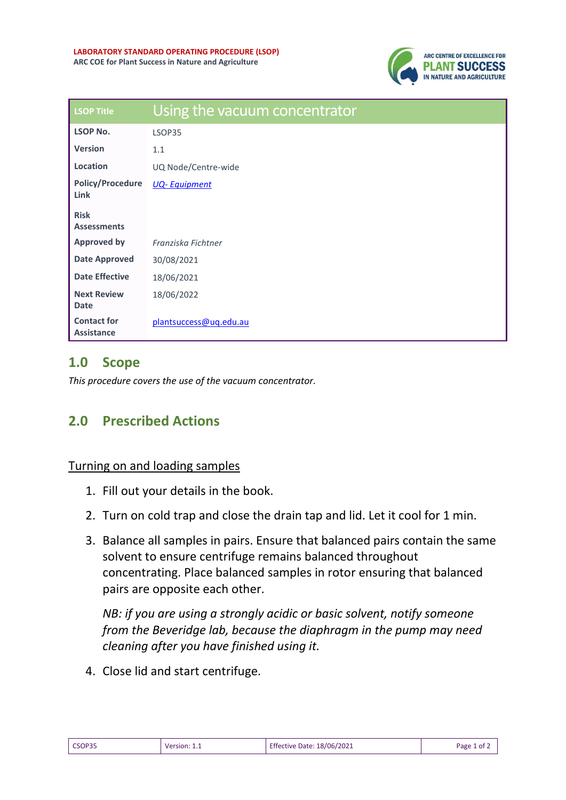

| <b>LSOP Title</b>                       | Using the vacuum concentrator |
|-----------------------------------------|-------------------------------|
| <b>LSOP No.</b>                         | LSOP35                        |
| <b>Version</b>                          | 1.1                           |
| Location                                | UQ Node/Centre-wide           |
| <b>Policy/Procedure</b><br>Link         | <b>UQ-Equipment</b>           |
| <b>Risk</b><br><b>Assessments</b>       |                               |
| <b>Approved by</b>                      | Franziska Fichtner            |
| <b>Date Approved</b>                    | 30/08/2021                    |
| <b>Date Effective</b>                   | 18/06/2021                    |
| <b>Next Review</b><br><b>Date</b>       | 18/06/2022                    |
| <b>Contact for</b><br><b>Assistance</b> | plantsuccess@ug.edu.au        |

## **1.0 Scope**

*This procedure covers the use of the vacuum concentrator.* 

## **2.0 Prescribed Actions**

## Turning on and loading samples

- 1. Fill out your details in the book.
- 2. Turn on cold trap and close the drain tap and lid. Let it cool for 1 min.
- 3. Balance all samples in pairs. Ensure that balanced pairs contain the same solvent to ensure centrifuge remains balanced throughout concentrating. Place balanced samples in rotor ensuring that balanced pairs are opposite each other.

*NB: if you are using a strongly acidic or basic solvent, notify someone from the Beveridge lab, because the diaphragm in the pump may need cleaning after you have finished using it.*

4. Close lid and start centrifuge.

| CSOP35 | Version: $1.1$ | <b>Effective Date: 18/06/2021</b> | Page 1 of $\lambda$ |
|--------|----------------|-----------------------------------|---------------------|
|        |                |                                   |                     |